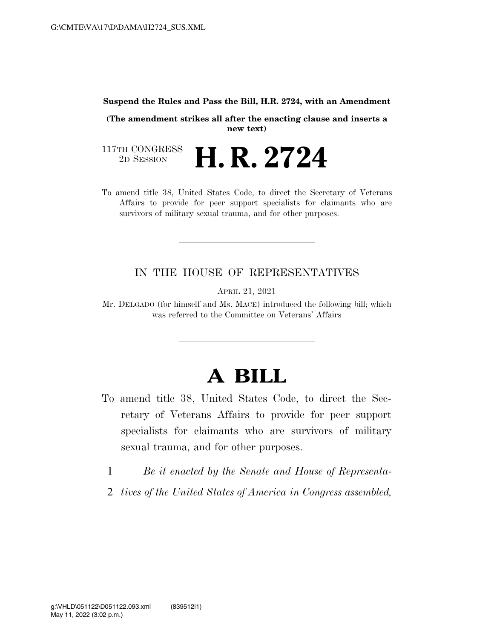## **Suspend the Rules and Pass the Bill, H.R. 2724, with an Amendment**

**(The amendment strikes all after the enacting clause and inserts a new text)** 

117TH CONGRESS<br>2D SESSION **H. R. 2724** 

To amend title 38, United States Code, to direct the Secretary of Veterans Affairs to provide for peer support specialists for claimants who are survivors of military sexual trauma, and for other purposes.

## IN THE HOUSE OF REPRESENTATIVES

APRIL 21, 2021

Mr. DELGADO (for himself and Ms. MACE) introduced the following bill; which was referred to the Committee on Veterans' Affairs

## **A BILL**

- To amend title 38, United States Code, to direct the Secretary of Veterans Affairs to provide for peer support specialists for claimants who are survivors of military sexual trauma, and for other purposes.
	- 1 *Be it enacted by the Senate and House of Representa-*
	- 2 *tives of the United States of America in Congress assembled,*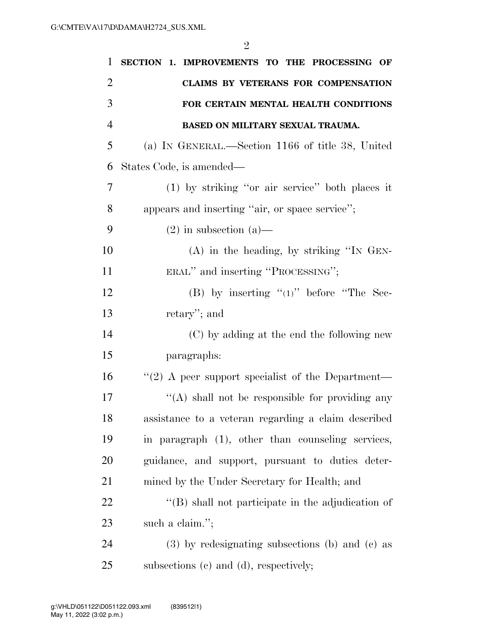| 1              | SECTION 1. IMPROVEMENTS TO THE PROCESSING OF              |
|----------------|-----------------------------------------------------------|
| $\overline{2}$ | CLAIMS BY VETERANS FOR COMPENSATION                       |
| 3              | FOR CERTAIN MENTAL HEALTH CONDITIONS                      |
| 4              | BASED ON MILITARY SEXUAL TRAUMA.                          |
| 5              | (a) IN GENERAL.—Section 1166 of title 38, United          |
| 6              | States Code, is amended—                                  |
| 7              | $(1)$ by striking "or air service" both places it         |
| 8              | appears and inserting "air, or space service";            |
| 9              | $(2)$ in subsection $(a)$ —                               |
| 10             | $(A)$ in the heading, by striking "IN GEN-                |
| 11             | ERAL" and inserting "PROCESSING";                         |
| 12             | (B) by inserting " $(1)$ " before "The Sec-               |
| 13             | retary"; and                                              |
| 14             | (C) by adding at the end the following new                |
| 15             | paragraphs:                                               |
| 16             | "(2) A peer support specialist of the Department—         |
| 17             | "(A) shall not be responsible for providing any           |
| 18             | assistance to a veteran regarding a claim described       |
| 19             | in paragraph (1), other than counseling services,         |
| <b>20</b>      | guidance, and support, pursuant to duties deter-          |
| 21             | mined by the Under Secretary for Health; and              |
| 22             | $\lq\lq$ (B) shall not participate in the adjudication of |
| 23             | such a claim.";                                           |
| 24             | $(3)$ by redesignating subsections (b) and (c) as         |
| 25             | subsections (c) and (d), respectively;                    |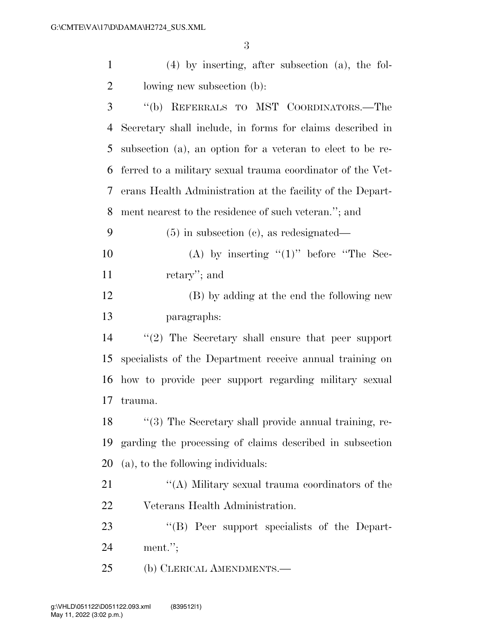(4) by inserting, after subsection (a), the fol-

| $\overline{2}$ | lowing new subsection (b):                                  |
|----------------|-------------------------------------------------------------|
| 3              | "(b) REFERRALS TO MST COORDINATORS.—The                     |
| 4              | Secretary shall include, in forms for claims described in   |
| 5              | subsection (a), an option for a veteran to elect to be re-  |
| 6              | ferred to a military sexual trauma coordinator of the Vet-  |
| 7              | erans Health Administration at the facility of the Depart-  |
| 8              | ment nearest to the residence of such veteran."; and        |
| 9              | $(5)$ in subsection (c), as redesignated—                   |
| 10             | (A) by inserting " $(1)$ " before "The Sec-                 |
| 11             | retary"; and                                                |
| 12             | (B) by adding at the end the following new                  |
| 13             | paragraphs:                                                 |
| 14             | $\lq(2)$ The Secretary shall ensure that peer support       |
| 15             | specialists of the Department receive annual training on    |
| 16             | how to provide peer support regarding military sexual       |
| 17             | trauma.                                                     |
| 18             | "(3) The Secretary shall provide annual training, re-       |
|                | 19 garding the processing of claims described in subsection |
| 20             | (a), to the following individuals:                          |
| 21             | "(A) Military sexual trauma coordinators of the             |
| 22             | Veterans Health Administration.                             |
| 23             | "(B) Peer support specialists of the Depart-                |
| 24             | $ment.$ ";                                                  |
| 25             | (b) CLERICAL AMENDMENTS.—                                   |
|                |                                                             |